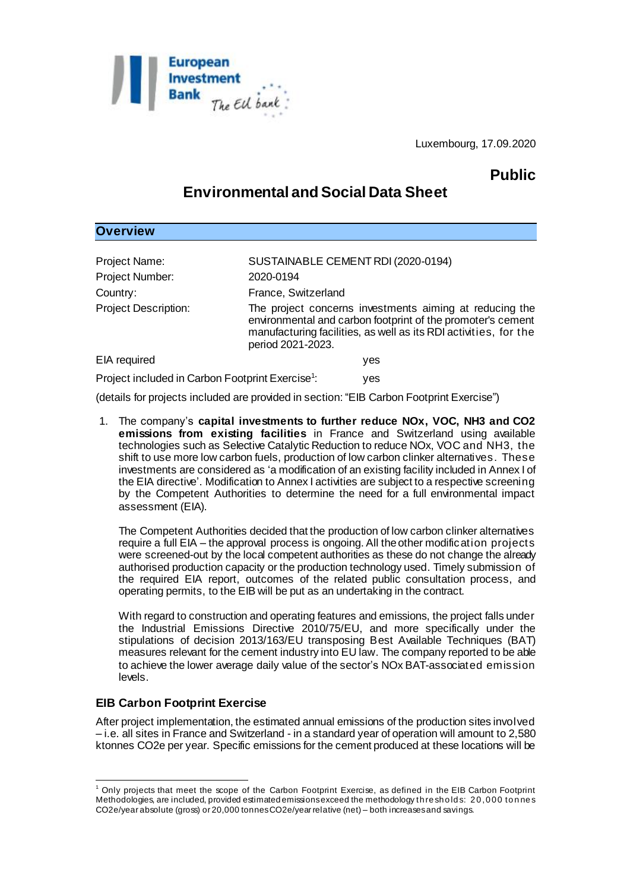

Luxembourg, 17.09.2020

## **Public**

# **Environmental and Social Data Sheet**

## **Overview**

| Project Name:                                                |                                                                                                                                                                                                                 | SUSTAINABLE CEMENT RDI (2020-0194) |  |
|--------------------------------------------------------------|-----------------------------------------------------------------------------------------------------------------------------------------------------------------------------------------------------------------|------------------------------------|--|
| Project Number:                                              | 2020-0194                                                                                                                                                                                                       |                                    |  |
| Country:                                                     | France, Switzerland                                                                                                                                                                                             |                                    |  |
| <b>Project Description:</b>                                  | The project concerns investments aiming at reducing the<br>environmental and carbon footprint of the promoter's cement<br>manufacturing facilities, as well as its RDI activities, for the<br>period 2021-2023. |                                    |  |
| EIA required                                                 |                                                                                                                                                                                                                 | yes                                |  |
| Project included in Carbon Footprint Exercise <sup>1</sup> : |                                                                                                                                                                                                                 | yes                                |  |

(details for projects included are provided in section: "EIB Carbon Footprint Exercise")

1. The company's **capital investments to further reduce NOx, VOC, NH3 and CO2 emissions from existing facilities** in France and Switzerland using available technologies such as Selective Catalytic Reduction to reduce NOx, VOC and NH3, the shift to use more low carbon fuels, production of low carbon clinker alternatives. These investments are considered as 'a modification of an existing facility included in Annex I of the EIA directive'. Modification to Annex I activities are subject to a respective screening by the Competent Authorities to determine the need for a full environmental impact assessment (EIA).

The Competent Authorities decided that the production of low carbon clinker alternatives require a full EIA – the approval process is ongoing. All the other modification projects were screened-out by the local competent authorities as these do not change the already authorised production capacity or the production technology used. Timely submission of the required EIA report, outcomes of the related public consultation process, and operating permits, to the EIB will be put as an undertaking in the contract.

With regard to construction and operating features and emissions, the project falls under the Industrial Emissions Directive 2010/75/EU, and more specifically under the stipulations of decision 2013/163/EU transposing Best Available Techniques (BAT) measures relevant for the cement industry into EU law. The company reported to be able to achieve the lower average daily value of the sector's NOx BAT-associated emission levels.

## **EIB Carbon Footprint Exercise**

After project implementation, the estimated annual emissions of the production sites involved – i.e. all sites in France and Switzerland - in a standard year of operation will amount to 2,580 ktonnes CO2e per year. Specific emissions for the cement produced at these locations will be

l <sup>1</sup> Only projects that meet the scope of the Carbon Footprint Exercise, as defined in the EIB Carbon Footprint Methodologies, are included, provided estimated emissions exceed the methodology thre sholds: 20,000 tonnes CO2e/year absolute (gross) or 20,000 tonnes CO2e/year relative (net) – both increases and savings.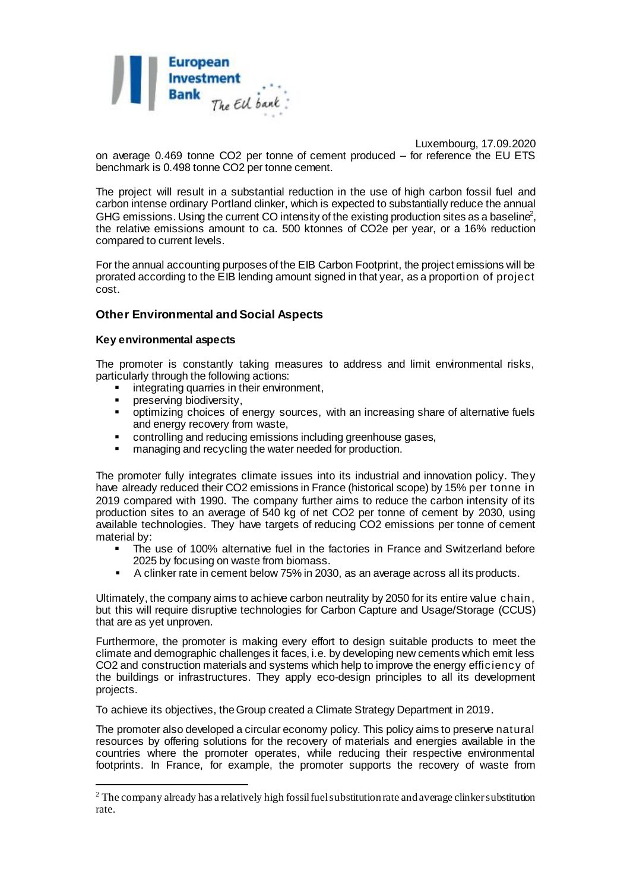

Luxembourg, 17.09.2020 on average 0.469 tonne CO2 per tonne of cement produced – for reference the EU ETS benchmark is 0.498 tonne CO2 per tonne cement.

The project will result in a substantial reduction in the use of high carbon fossil fuel and carbon intense ordinary Portland clinker, which is expected to substantially reduce the annual GHG emissions. Using the current CO intensity of the existing production sites as a baseline<sup>2</sup>, the relative emissions amount to ca. 500 ktonnes of CO2e per year, or a 16% reduction compared to current levels.

For the annual accounting purposes of the EIB Carbon Footprint, the project emissions will be prorated according to the EIB lending amount signed in that year, as a proportion of project cost.

### **Other Environmental and Social Aspects**

#### **Key environmental aspects**

l

The promoter is constantly taking measures to address and limit environmental risks, particularly through the following actions:

- integrating quarries in their environment,
- preserving biodiversity,
- optimizing choices of energy sources, with an increasing share of alternative fuels and energy recovery from waste,
- controlling and reducing emissions including greenhouse gases,
- managing and recycling the water needed for production.

The promoter fully integrates climate issues into its industrial and innovation policy. They have already reduced their CO2 emissions in France (historical scope) by 15% per tonne in 2019 compared with 1990. The company further aims to reduce the carbon intensity of its production sites to an average of 540 kg of net CO2 per tonne of cement by 2030, using available technologies. They have targets of reducing CO2 emissions per tonne of cement material by:

- The use of 100% alternative fuel in the factories in France and Switzerland before 2025 by focusing on waste from biomass.
- A clinker rate in cement below 75% in 2030, as an average across all its products.

Ultimately, the company aims to achieve carbon neutrality by 2050 for its entire value chain, but this will require disruptive technologies for Carbon Capture and Usage/Storage (CCUS) that are as yet unproven.

Furthermore, the promoter is making every effort to design suitable products to meet the climate and demographic challenges it faces, i.e. by developing new cements which emit less CO2 and construction materials and systems which help to improve the energy efficiency of the buildings or infrastructures. They apply eco-design principles to all its development projects.

To achieve its objectives, the Group created a Climate Strategy Department in 2019.

The promoter also developed a circular economy policy. This policy aims to preserve natural resources by offering solutions for the recovery of materials and energies available in the countries where the promoter operates, while reducing their respective environmental footprints. In France, for example, the promoter supports the recovery of waste from

<sup>&</sup>lt;sup>2</sup> The company already has a relatively high fossil fuel substitution rate and average clinker substitution rate.